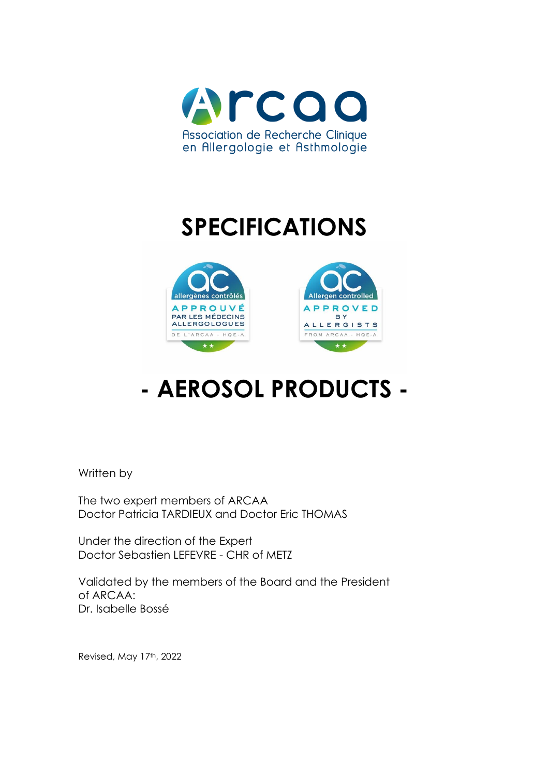

# **SPECIFICATIONS**





# **- AEROSOL PRODUCTS -**

Written by

The two expert members of ARCAA Doctor Patricia TARDIEUX and Doctor Eric THOMAS

Under the direction of the Expert Doctor Sebastien LEFEVRE - CHR of METZ

Validated by the members of the Board and the President of ARCAA: Dr. Isabelle Bossé

Revised, May 17th, 2022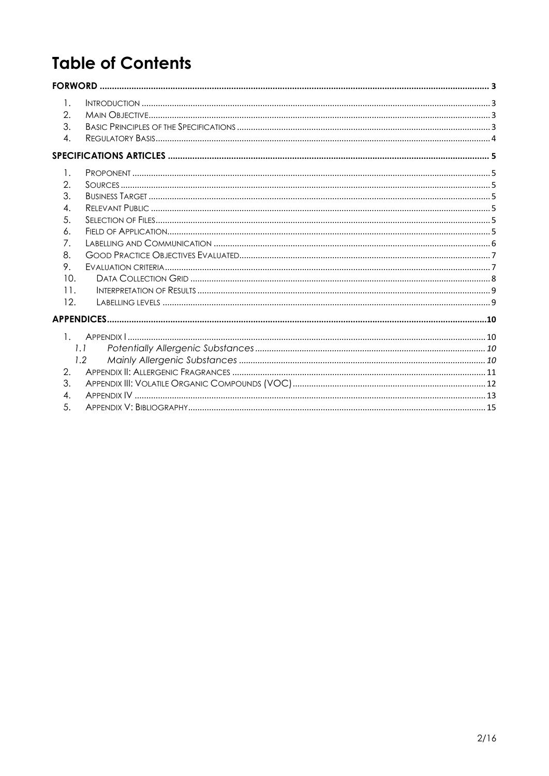# **Table of Contents**

| 1.                    |                   |  |
|-----------------------|-------------------|--|
| 2.                    |                   |  |
| 3.                    |                   |  |
| 4.                    |                   |  |
|                       |                   |  |
| 1.                    |                   |  |
| 2.                    |                   |  |
| 3.                    |                   |  |
| 4.                    |                   |  |
| 5.                    |                   |  |
| 6.                    |                   |  |
| 7.                    |                   |  |
| 8.                    |                   |  |
| 9.                    |                   |  |
| 10.                   |                   |  |
| 11.                   |                   |  |
| 12.                   |                   |  |
|                       | <b>APPENDICES</b> |  |
| $\mathbf{1}$          |                   |  |
|                       | 1.1               |  |
|                       | 1.2               |  |
| $\mathcal{D}_{\cdot}$ |                   |  |
| 3.                    |                   |  |
| 4.                    |                   |  |
| 5.                    |                   |  |
|                       |                   |  |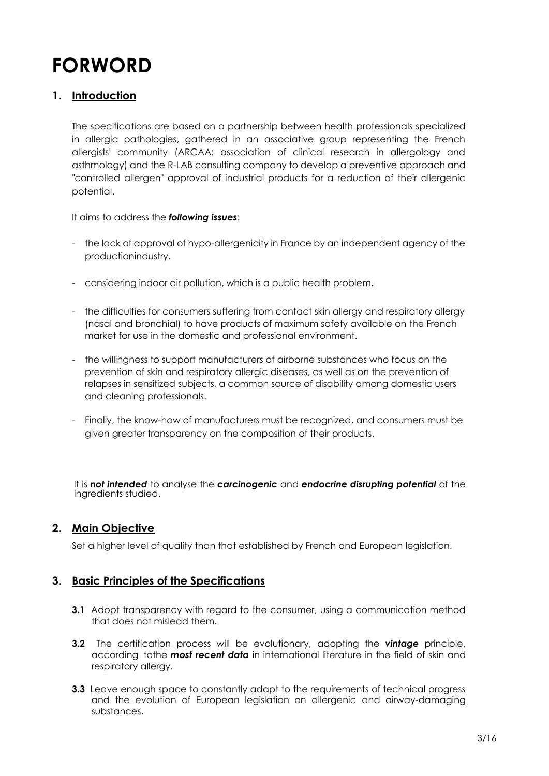# <span id="page-2-0"></span>**FORWORD**

#### <span id="page-2-1"></span>**1. Introduction**

The specifications are based on a partnership between health professionals specialized in allergic pathologies, gathered in an associative group representing the French allergists' community (ARCAA: association of clinical research in allergology and asthmology) and the R-LAB consulting company to develop a preventive approach and "controlled allergen" approval of industrial products for a reduction of their allergenic potential.

It aims to address the *following issues*:

- the lack of approval of hypo-allergenicity in France by an independent agency of the productionindustry.
- considering indoor air pollution, which is a public health problem.
- the difficulties for consumers suffering from contact skin allergy and respiratory allergy (nasal and bronchial) to have products of maximum safety available on the French market for use in the domestic and professional environment.
- the willingness to support manufacturers of airborne substances who focus on the prevention of skin and respiratory allergic diseases, as well as on the prevention of relapses in sensitized subjects, a common source of disability among domestic users and cleaning professionals.
- Finally, the know-how of manufacturers must be recognized, and consumers must be given greater transparency on the composition of their products.

It is *not intended* to analyse the *carcinogenic* and *endocrine disrupting potential* of the ingredients studied.

#### <span id="page-2-2"></span>**2. Main Objective**

Set a higher level of quality than that established by French and European legislation.

#### <span id="page-2-3"></span>**3. Basic Principles of the Specifications**

- **3.1** Adopt transparency with regard to the consumer, using a communication method that does not mislead them.
- **3.2** The certification process will be evolutionary, adopting the *vintage* principle, according tothe *most recent data* in international literature in the field of skin and respiratory allergy.
- **3.3** Leave enough space to constantly adapt to the requirements of technical progress and the evolution of European legislation on allergenic and airway-damaging substances.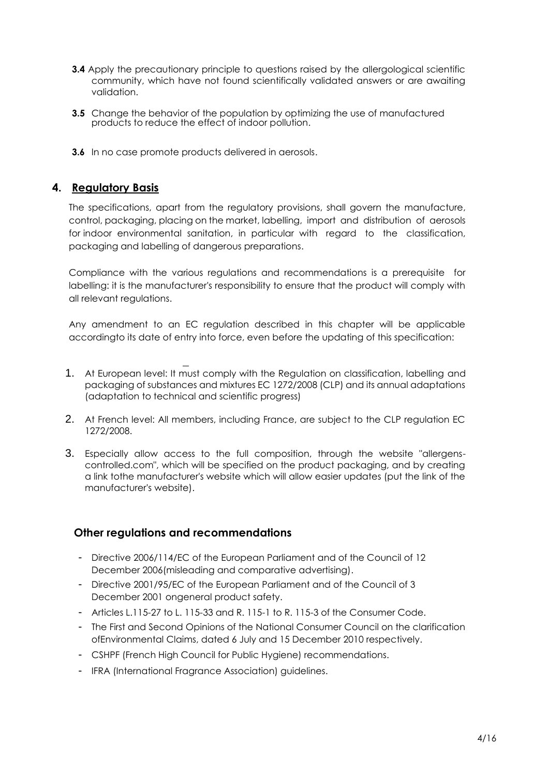- **3.4** Apply the precautionary principle to questions raised by the allergological scientific community, which have not found scientifically validated answers or are awaiting validation.
- **3.5** Change the behavior of the population by optimizing the use of manufactured products to reduce the effect of indoor pollution.
- **3.6** In no case promote products delivered in aerosols.

#### <span id="page-3-0"></span>**4. Regulatory Basis**

The specifications, apart from the regulatory provisions, shall govern the manufacture, control, packaging, placing on the market, labelling, import and distribution of aerosols for indoor environmental sanitation, in particular with regard to the classification, packaging and labelling of dangerous preparations.

Compliance with the various regulations and recommendations is a prerequisite for labelling: it is the manufacturer's responsibility to ensure that the product will comply with all relevant regulations.

Any amendment to an EC regulation described in this chapter will be applicable accordingto its date of entry into force, even before the updating of this specification:

- 1. At European level: It must comply with the Regulation on classification, labelling and packaging of substances and mixtures EC 1272/2008 (CLP) and its annual adaptations (adaptation to technical and scientific progress)
- 2. At French level: All members, including France, are subject to the CLP regulation EC 1272/2008.
- 3. Especially allow access to the full composition, through the website "allergenscontrolled.com", which will be specified on the product packaging, and by creating a link tothe manufacturer's website which will allow easier updates (put the link of the manufacturer's website).

#### **Other regulations and recommendations**

- Directive 2006/114/EC of the European Parliament and of the Council of 12 December 2006(misleading and comparative advertising).
- Directive 2001/95/EC of the European Parliament and of the Council of 3 December 2001 ongeneral product safety.
- Articles L.115-27 to L. 115-33 and R. 115-1 to R. 115-3 of the Consumer Code.
- The First and Second Opinions of the National Consumer Council on the clarification ofEnvironmental Claims, dated 6 July and 15 December 2010 respectively.
- CSHPF (French High Council for Public Hygiene) recommendations.
- IFRA (International Fragrance Association) guidelines.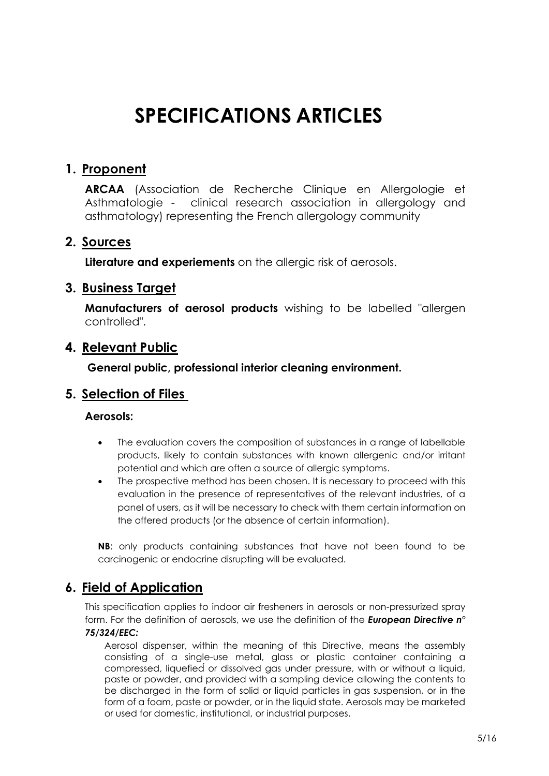# **SPECIFICATIONS ARTICLES**

### <span id="page-4-1"></span><span id="page-4-0"></span>**1. Proponent**

**ARCAA** (Association de Recherche Clinique en Allergologie et Asthmatologie - clinical research association in allergology and asthmatology) representing the French allergology community

### <span id="page-4-2"></span>**2. Sources**

**Literature and experiements** on the allergic risk of aerosols.

#### <span id="page-4-3"></span>**3. Business Target**

**Manufacturers of aerosol products** wishing to be labelled "allergen controlled".

### <span id="page-4-4"></span>**4. Relevant Public**

**General public, professional interior cleaning environment.**

### <span id="page-4-5"></span>**5. Selection of Files**

#### **Aerosols:**

- The evaluation covers the composition of substances in a range of labellable products, likely to contain substances with known allergenic and/or irritant potential and which are often a source of allergic symptoms.
- The prospective method has been chosen. It is necessary to proceed with this evaluation in the presence of representatives of the relevant industries, of a panel of users, as it will be necessary to check with them certain information on the offered products (or the absence of certain information).

**NB**: only products containing substances that have not been found to be carcinogenic or endocrine disrupting will be evaluated.

## <span id="page-4-6"></span>**6. Field of Application**

This specification applies to indoor air fresheners in aerosols or non-pressurized spray form. For the definition of aerosols, we use the definition of the *European Directive n° 75/324/EEC:*

Aerosol dispenser, within the meaning of this Directive, means the assembly consisting of a single-use metal, glass or plastic container containing a compressed, liquefied́ or dissolved gas under pressure, with or without a liquid, paste or powder, and provided with a sampling device allowing the contents to be discharged in the form of solid or liquid particles in gas suspension, or in the form of a foam, paste or powder, or in the liquid state. Aerosols may be marketed or used for domestic, institutional, or industrial purposes.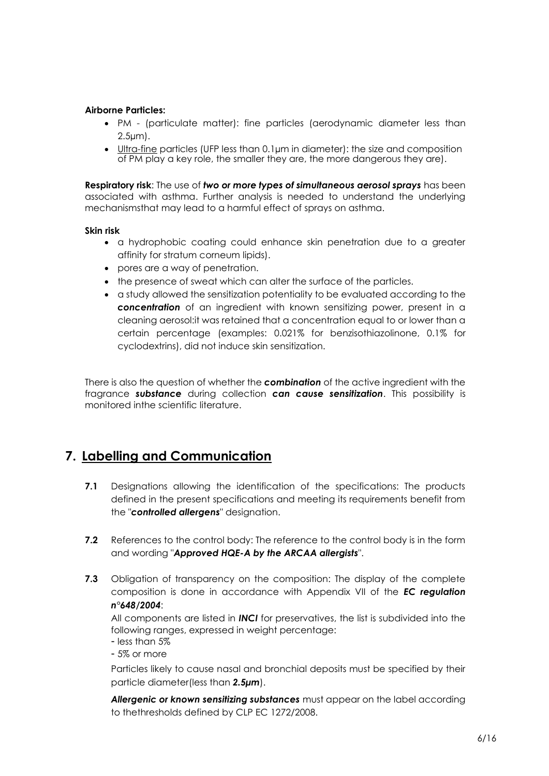#### **Airborne Particles:**

- PM (particulate matter): fine particles (aerodynamic diameter less than 2.5µm).
- Ultra-fine particles (UFP less than 0.1µm in diameter): the size and composition of PM play a key role, the smaller they are, the more dangerous they are).

**Respiratory risk**: The use of *two or more types of simultaneous aerosol sprays* has been associated with asthma. Further analysis is needed to understand the underlying mechanismsthat may lead to a harmful effect of sprays on asthma.

#### **Skin risk**

- a hydrophobic coating could enhance skin penetration due to a greater affinity for stratum corneum lipids).
- pores are a way of penetration.
- the presence of sweat which can alter the surface of the particles.
- a study allowed the sensitization potentiality to be evaluated according to the *concentration* of an ingredient with known sensitizing power, present in a cleaning aerosol:it was retained that a concentration equal to or lower than a certain percentage (examples: 0.021% for benzisothiazolinone, 0.1% for cyclodextrins), did not induce skin sensitization.

There is also the question of whether the *combination* of the active ingredient with the fragrance *substance* during collection *can cause sensitization*. This possibility is monitored inthe scientific literature.

### <span id="page-5-0"></span>**7. Labelling and Communication**

- **7.1** Designations allowing the identification of the specifications: The products defined in the present specifications and meeting its requirements benefit from the "*controlled allergens*" designation.
- **7.2** References to the control body: The reference to the control body is in the form and wording "*Approved HQE-A by the ARCAA allergists*".
- **7.3** Obligation of transparency on the composition: The display of the complete composition is done in accordance with Appendix VII of the *EC regulation n°648/2004*:

All components are listed in *INCI* for preservatives, the list is subdivided into the following ranges, expressed in weight percentage:

- less than 5%

- 5% or more

Particles likely to cause nasal and bronchial deposits must be specified by their particle diameter(less than *2.5µm*).

*Allergenic or known sensitizing substances* must appear on the label according to thethresholds defined by CLP EC 1272/2008.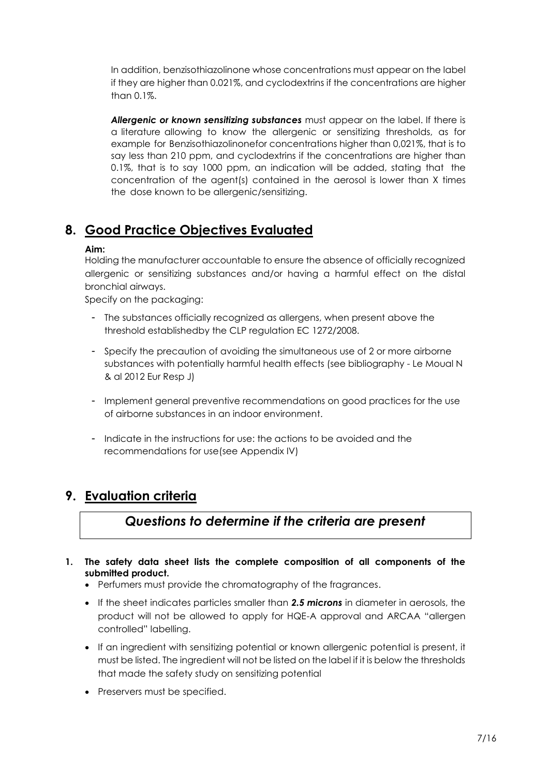In addition, benzisothiazolinone whose concentrations must appear on the label if they are higher than 0.021%, and cyclodextrins if the concentrations are higher than 0.1%.

*Allergenic or known sensitizing substances* must appear on the label. If there is a literature allowing to know the allergenic or sensitizing thresholds, as for example for Benzisothiazolinonefor concentrations higher than 0,021%, that is to say less than 210 ppm, and cyclodextrins if the concentrations are higher than 0.1%, that is to say 1000 ppm, an indication will be added, stating that the concentration of the agent(s) contained in the aerosol is lower than X times the dose known to be allergenic/sensitizing.

## <span id="page-6-0"></span>**8. Good Practice Objectives Evaluated**

#### **Aim:**

Holding the manufacturer accountable to ensure the absence of officially recognized allergenic or sensitizing substances and/or having a harmful effect on the distal bronchial airways.

Specify on the packaging:

- The substances officially recognized as allergens, when present above the threshold establishedby the CLP regulation EC 1272/2008.
- Specify the precaution of avoiding the simultaneous use of 2 or more airborne substances with potentially harmful health effects (see bibliography - Le Moual N & al 2012 Eur Resp J)
- Implement general preventive recommendations on good practices for the use of airborne substances in an indoor environment.
- Indicate in the instructions for use: the actions to be avoided and the recommendations for use(see Appendix IV)

### <span id="page-6-1"></span>**9. Evaluation criteria**

## *Questions to determine if the criteria are present*

- **1. The safety data sheet lists the complete composition of all components of the submitted product.** 
	- Perfumers must provide the chromatography of the fragrances.
	- If the sheet indicates particles smaller than *2.5 microns* in diameter in aerosols, the product will not be allowed to apply for HQE-A approval and ARCAA "allergen controlled" labelling.
	- If an ingredient with sensitizing potential or known allergenic potential is present, it must be listed. The ingredient will not be listed on the label if it is below the thresholds that made the safety study on sensitizing potential
	- Preservers must be specified.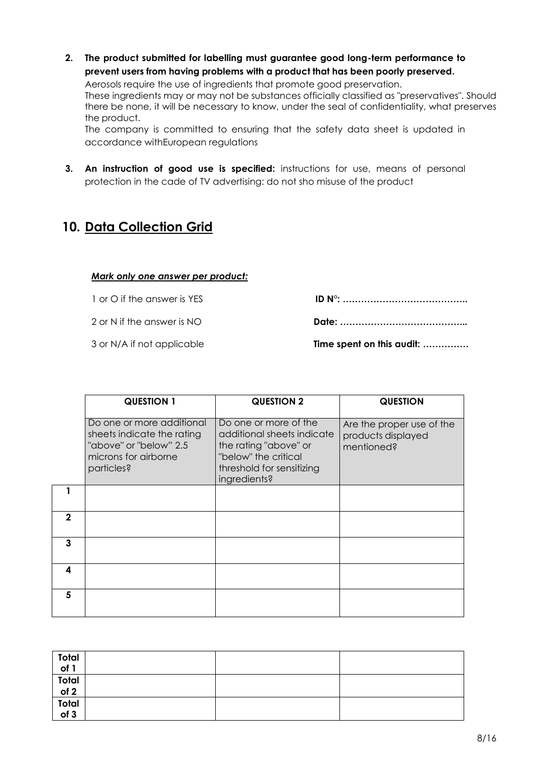**2. The product submitted for labelling must guarantee good long-term performance to prevent users from having problems with a product that has been poorly preserved.**

Aerosols require the use of ingredients that promote good preservation.

These ingredients may or may not be substances officially classified as "preservatives". Should there be none, it will be necessary to know, under the seal of confidentiality, what preserves the product.

The company is committed to ensuring that the safety data sheet is updated in accordance withEuropean regulations

**3. An instruction of good use is specified:** instructions for use, means of personal protection in the cade of TV advertising: do not sho misuse of the product

## <span id="page-7-0"></span>**10. Data Collection Grid**

#### *Mark only one answer per product:*

1 or O if the answer is YES **ID N°: …………………………………..** 2 or N if the answer is NO **Date: …………………………………...**

3 or N/A if not applicable **Time spent on this audit: ……………**

|   | <b>QUESTION 1</b>                                                                                                       | <b>QUESTION 2</b>                                                                                                                                 | <b>QUESTION</b>                                               |
|---|-------------------------------------------------------------------------------------------------------------------------|---------------------------------------------------------------------------------------------------------------------------------------------------|---------------------------------------------------------------|
|   | Do one or more additional<br>sheets indicate the rating<br>"above" or "below" 2.5<br>microns for airborne<br>particles? | Do one or more of the<br>additional sheets indicate<br>the rating "above" or<br>"below" the critical<br>threshold for sensitizing<br>ingredients? | Are the proper use of the<br>products displayed<br>mentioned? |
|   |                                                                                                                         |                                                                                                                                                   |                                                               |
| 2 |                                                                                                                         |                                                                                                                                                   |                                                               |
| 3 |                                                                                                                         |                                                                                                                                                   |                                                               |
| 4 |                                                                                                                         |                                                                                                                                                   |                                                               |
| 5 |                                                                                                                         |                                                                                                                                                   |                                                               |

| Total<br>of 1                                                        |  |  |
|----------------------------------------------------------------------|--|--|
| $\begin{array}{c}\n\hline\n\text{Total} \\ \text{of 2}\n\end{array}$ |  |  |
|                                                                      |  |  |
| Total<br>of 3                                                        |  |  |
|                                                                      |  |  |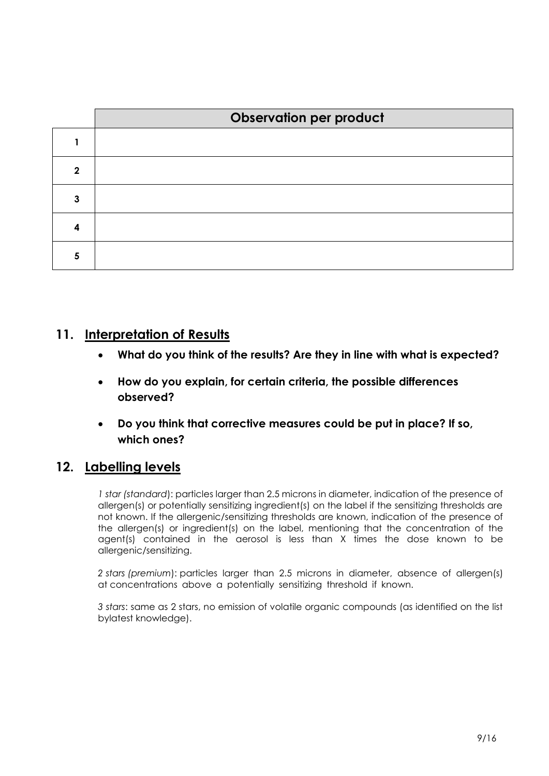|   | <b>Observation per product</b> |
|---|--------------------------------|
|   |                                |
| 2 |                                |
| 3 |                                |
|   |                                |
|   |                                |

#### <span id="page-8-0"></span>**11. Interpretation of Results**

- **What do you think of the results? Are they in line with what is expected?**
- **How do you explain, for certain criteria, the possible differences observed?**
- **Do you think that corrective measures could be put in place? If so, which ones?**

### <span id="page-8-1"></span>**12. Labelling levels**

*1 star (standard*): particles larger than 2.5 microns in diameter, indication of the presence of allergen(s) or potentially sensitizing ingredient(s) on the label if the sensitizing thresholds are not known. If the allergenic/sensitizing thresholds are known, indication of the presence of the allergen(s) or ingredient(s) on the label, mentioning that the concentration of the agent(s) contained in the aerosol is less than X times the dose known to be allergenic/sensitizing.

*2 stars (premium*): particles larger than 2.5 microns in diameter, absence of allergen(s) at concentrations above a potentially sensitizing threshold if known.

*3 stars*: same as 2 stars, no emission of volatile organic compounds (as identified on the list bylatest knowledge).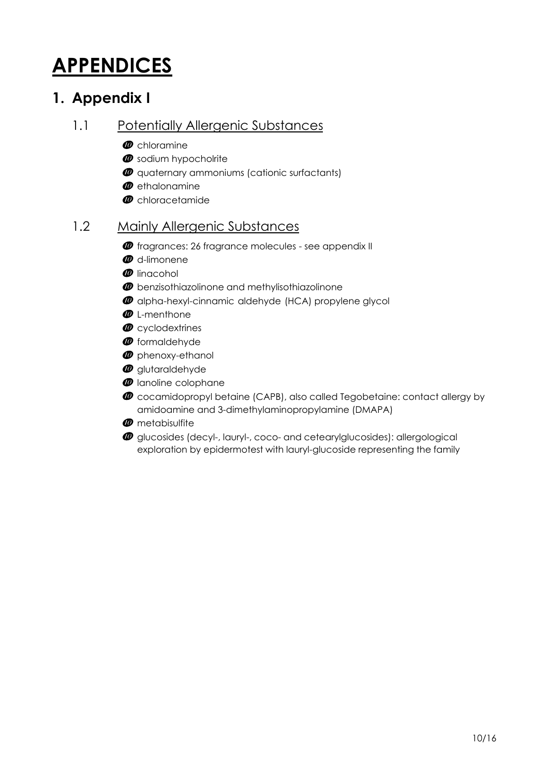# <span id="page-9-0"></span>**APPENDICES**

## <span id="page-9-1"></span>**1. Appendix I**

#### <span id="page-9-2"></span>1.1 Potentially Allergenic Substances

- $\boldsymbol{\varpi}$  chloramine
- $\Phi$  sodium hypocholrite
- $\omega$  quaternary ammoniums (cationic surfactants)
- $\boldsymbol{\varPhi}$  ethalonamine
- *<sup>0*</sup> chloracetamide</sub>

#### <span id="page-9-3"></span>1.2 Mainly Allergenic Substances

- $\bm{\varPhi}$  fragrances: 26 fragrance molecules see appendix II
- **@** d-limonene
- *<sup><i>*</sup> linacohol
- $\boldsymbol{\varPhi}$  benzisothiazolinone and methylisothiazolinone
- $\Phi$  alpha-hexyl-cinnamic aldehyde (HCA) propylene glycol
- *<sup><i>O*</sup> L-menthone
- *<sup><i>o*</sup> cyclodextrines
- *<sup><i>O*</sup> formaldehyde
- $\boldsymbol{\varPhi}$  phenoxy-ethanol
- **@** glutaraldehyde
- $\boldsymbol{\varPhi}$  lanoline colophane
- cocamidopropyl betaine (CAPB), also called Tegobetaine: contact allergy by amidoamine and 3-dimethylaminopropylamine (DMAPA)
- **<sup>***m*</sup> metabisulfite
- $\omega$  glucosides (decyl-, lauryl-, coco- and cetearylglucosides): allergological exploration by epidermotest with lauryl-glucoside representing the family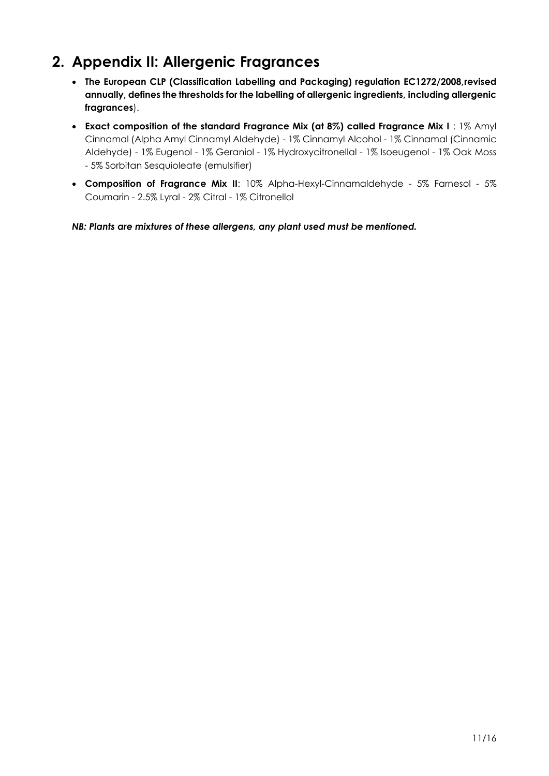## <span id="page-10-0"></span>**2. Appendix II: Allergenic Fragrances**

- **The European CLP (Classification Labelling and Packaging) regulation EC1272/2008,revised annually, defines the thresholds for the labelling of allergenic ingredients, including allergenic fragrances**).
- **Exact composition of the standard Fragrance Mix (at 8%) called Fragrance Mix I** : 1% Amyl Cinnamal (Alpha Amyl Cinnamyl Aldehyde) - 1% Cinnamyl Alcohol - 1% Cinnamal (Cinnamic Aldehyde) - 1% Eugenol - 1% Geraniol - 1% Hydroxycitronellal - 1% Isoeugenol - 1% Oak Moss - 5% Sorbitan Sesquioleate (emulsifier)
- **Composition of Fragrance Mix II**: 10% Alpha-Hexyl-Cinnamaldehyde 5% Farnesol 5% Coumarin - 2.5% Lyral - 2% Citral - 1% Citronellol

*NB: Plants are mixtures of these allergens, any plant used must be mentioned.*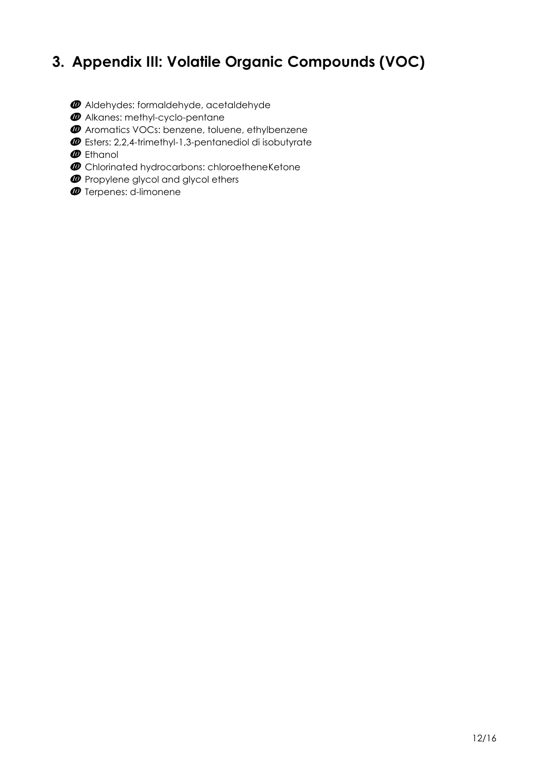## <span id="page-11-0"></span>**3. Appendix III: Volatile Organic Compounds (VOC)**

- Aldehydes: formaldehyde, acetaldehyde
- **<sup>***@*</sup> Alkanes: methyl-cyclo-pentane
- Aromatics VOCs: benzene, toluene, ethylbenzene
- Esters: 2,2,4-trimethyl-1,3-pentanediol di isobutyrate
- *@* Ethanol
- $\Phi$  Chlorinated hydrocarbons: chloroetheneKetone
- $\Phi$  Propylene glycol and glycol ethers
- **<sup>***O*</sup> Terpenes: d-limonene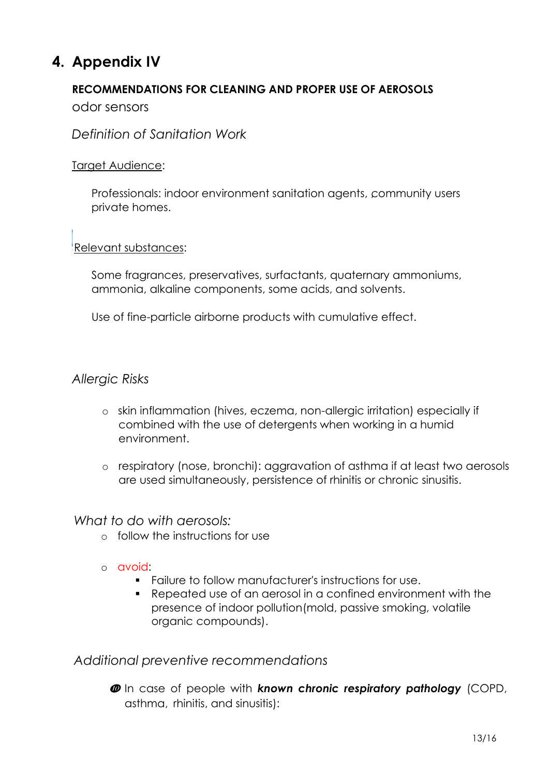## <span id="page-12-0"></span>**4. Appendix IV**

#### **RECOMMENDATIONS FOR CLEANING AND PROPER USE OF AEROSOLS**

odor sensors

*Definition of Sanitation Work*

#### Target Audience:

Professionals: indoor environment sanitation agents, community users private homes.

#### Relevant substances:

Some fragrances, preservatives, surfactants, quaternary ammoniums, ammonia, alkaline components, some acids, and solvents.

Use of fine-particle airborne products with cumulative effect.

#### *Allergic Risks*

- o skin inflammation (hives, eczema, non-allergic irritation) especially if combined with the use of detergents when working in a humid environment.
- o respiratory (nose, bronchi): aggravation of asthma if at least two aerosols are used simultaneously, persistence of rhinitis or chronic sinusitis.

#### *What to do with aerosols:*

- o follow the instructions for use
- o avoid:
	- Failure to follow manufacturer's instructions for use.
	- Repeated use of an aerosol in a confined environment with the presence of indoor pollution(mold, passive smoking, volatile organic compounds).

#### *Additional preventive recommendations*

 In case of people with *known chronic respiratory pathology* (COPD, asthma, rhinitis, and sinusitis):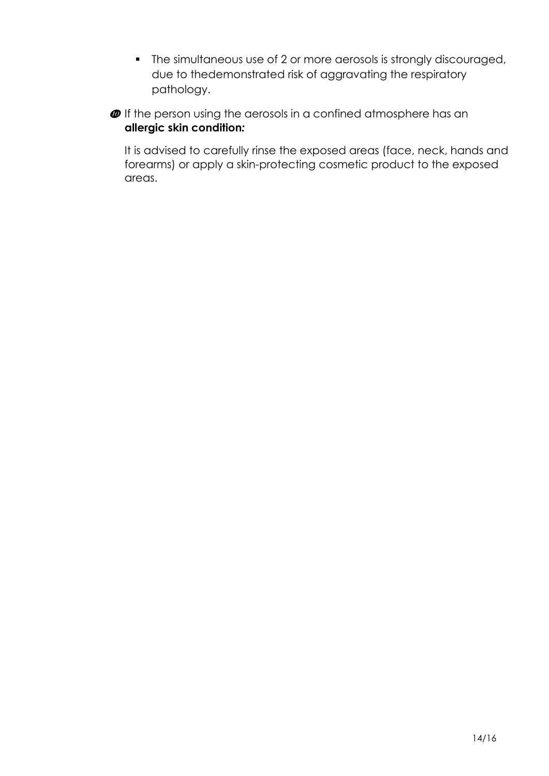- **•** The simultaneous use of 2 or more aerosols is strongly discouraged, due to thedemonstrated risk of aggravating the respiratory pathology.
- $\boldsymbol{\varPhi}$  If the person using the aerosols in a confined atmosphere has an **allergic skin condition***:*

It is advised to carefully rinse the exposed areas (face, neck, hands and forearms) or apply a skin-protecting cosmetic product to the exposed areas.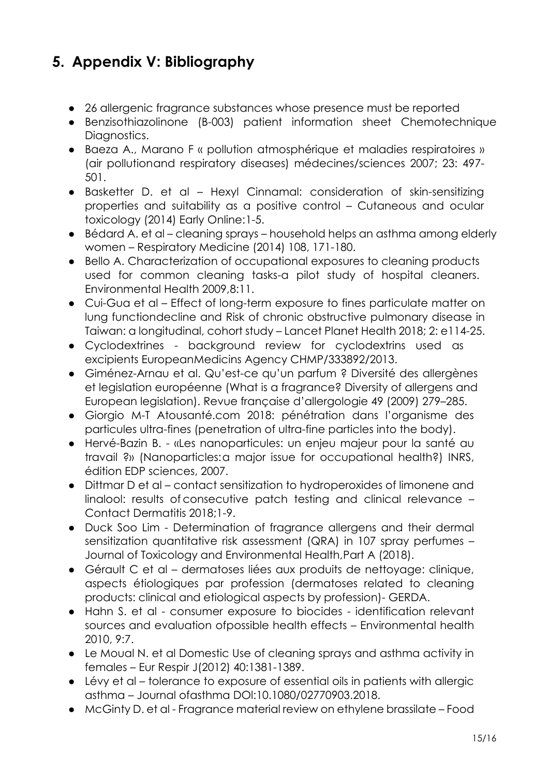## <span id="page-14-0"></span>**5. Appendix V: Bibliography**

- 26 allergenic fragrance substances whose presence must be reported
- Benzisothiazolinone (B-003) patient information sheet Chemotechnique Diagnostics.
- Baeza A., Marano F « pollution atmosphérique et maladies respiratoires » (air pollutionand respiratory diseases) médecines/sciences 2007; 23: 497- 501.
- Basketter D. et al Hexyl Cinnamal: consideration of skin-sensitizing properties and suitability as a positive control – Cutaneous and ocular toxicology (2014) Early Online:1-5.
- Bédard A. et al cleaning sprays household helps an asthma among elderly women – Respiratory Medicine (2014) 108, 171-180.
- Bello A. Characterization of occupational exposures to cleaning products used for common cleaning tasks-a pilot study of hospital cleaners. Environmental Health 2009,8:11.
- Cui-Gua et al Effect of long-term exposure to fines particulate matter on lung functiondecline and Risk of chronic obstructive pulmonary disease in Taiwan: a longitudinal, cohort study – Lancet Planet Health 2018; 2: e114-25.
- Cyclodextrines background review for cyclodextrins used as excipients EuropeanMedicins Agency CHMP/333892/2013.
- Giménez-Arnau et al. Qu'est-ce qu'un parfum ? Diversité des allergènes et legislation européenne (What is a fragrance? Diversity of allergens and European legislation). Revue française d'allergologie 49 (2009) 279–285.
- Giorgio M-T Atousanté.com 2018: pénétration dans l'organisme des particules ultra-fines (penetration of ultra-fine particles into the body).
- Hervé-Bazin B. «Les nanoparticules: un enjeu majeur pour la santé au travail ?» (Nanoparticles:a major issue for occupational health?) INRS, édition EDP sciences, 2007.
- Dittmar D et al contact sensitization to hydroperoxides of limonene and linalool: results of consecutive patch testing and clinical relevance – Contact Dermatitis 2018;1-9.
- Duck Soo Lim Determination of fragrance allergens and their dermal sensitization quantitative risk assessment (QRA) in 107 spray perfumes – Journal of Toxicology and Environmental Health,Part A (2018).
- Gérault C et al dermatoses liées aux produits de nettoyage: clinique, aspects étiologiques par profession (dermatoses related to cleaning products: clinical and etiological aspects by profession)- GERDA.
- Hahn S. et al consumer exposure to biocides identification relevant sources and evaluation ofpossible health effects – Environmental health 2010, 9:7.
- Le Moual N. et al Domestic Use of cleaning sprays and asthma activity in females – Eur Respir J(2012) 40:1381-1389.
- Lévy et al tolerance to exposure of essential oils in patients with allergic asthma – Journal ofasthma DOl:10.1080/02770903.2018.
- McGinty D. et al Fragrance material review on ethylene brassilate Food